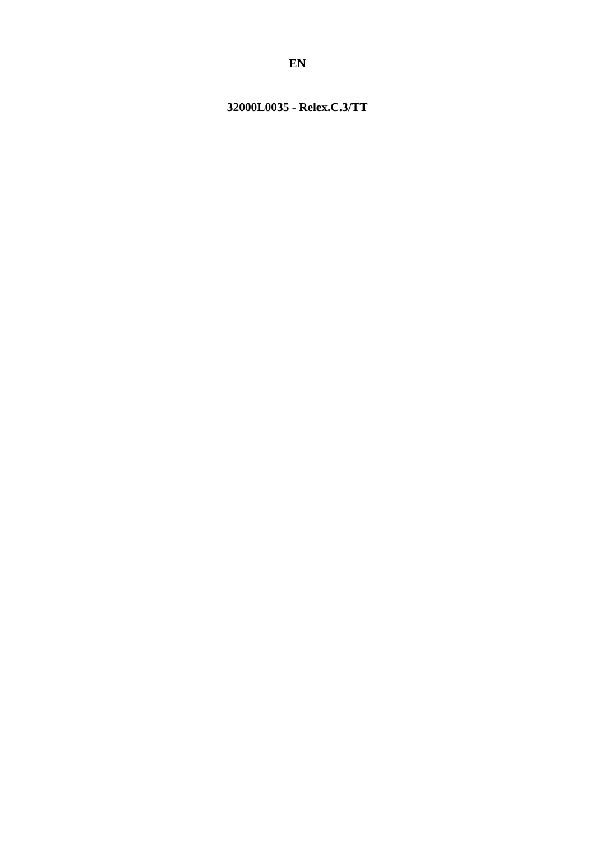# <span id="page-0-0"></span>32000L0035 - Relex.C.3/TT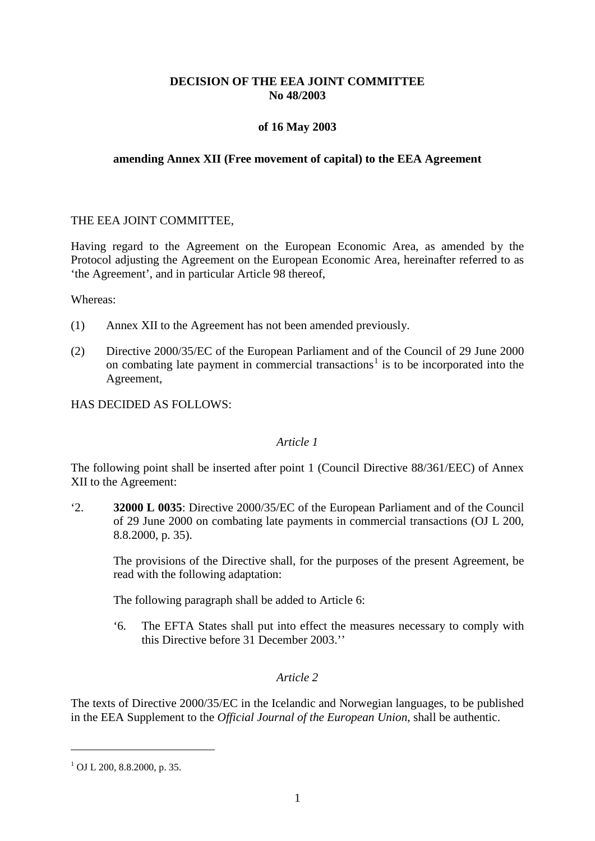## **DECISION OF THE EEA JOINT COMMITTEE No 48/2003**

## **of 16 May 2003**

#### **amending Annex XII (Free movement of capital) to the EEA Agreement**

#### THE EEA JOINT COMMITTEE,

Having regard to the Agreement on the European Economic Area, as amended by the Protocol adjusting the Agreement on the European Economic Area, hereinafter referred to as 'the Agreement', and in particular Article 98 thereof,

Whereas:

- (1) Annex XII to the Agreement has not been amended previously.
- (2) Directive 2000/35/EC of the European Parliament and of the Council of 29 June 2000 on combating late payment in commercial transactions<sup>[1](#page-0-0)</sup> is to be incorporated into the Agreement,

HAS DECIDED AS FOLLOWS:

#### *Article 1*

The following point shall be inserted after point 1 (Council Directive 88/361/EEC) of Annex XII to the Agreement:

'2. **32000 L 0035**: Directive 2000/35/EC of the European Parliament and of the Council of 29 June 2000 on combating late payments in commercial transactions (OJ L 200, 8.8.2000, p. 35).

The provisions of the Directive shall, for the purposes of the present Agreement, be read with the following adaptation:

The following paragraph shall be added to Article 6:

'6. The EFTA States shall put into effect the measures necessary to comply with this Directive before 31 December 2003.''

#### *Article 2*

The texts of Directive 2000/35/EC in the Icelandic and Norwegian languages, to be published in the EEA Supplement to the *Official Journal of the European Union*, shall be authentic.

<u>.</u>

<span id="page-1-0"></span> $1$  OJ L 200, 8.8.2000, p. 35.